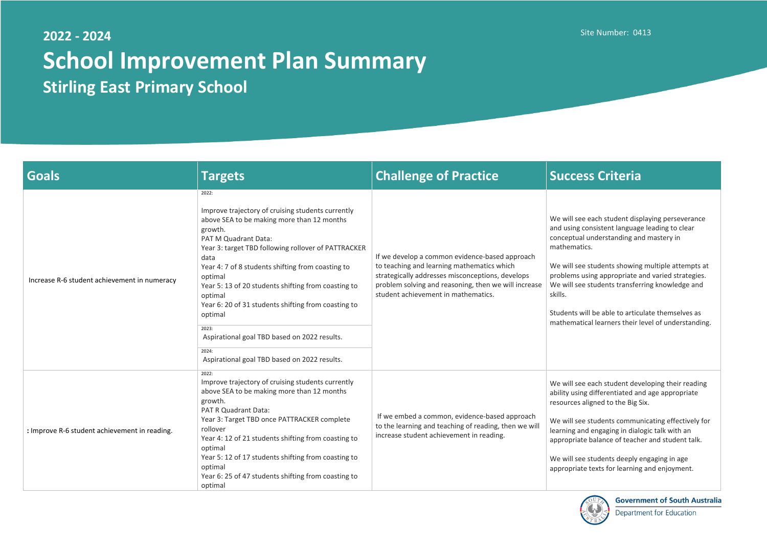## **2022 - 2024 School Improvement Plan Summary Stirling East Primary School**

e each student displaying perseverance consistent language leading to clear al understanding and mastery in tics.

e students showing multiple attempts at using appropriate and varied strategies. e students transferring knowledge and

will be able to articulate themselves as tical learners their level of understanding.

e each student developing their reading ag differentiated and age appropriate aligned to the Big Six.

e students communicating effectively for nd engaging in dialogic talk with an te balance of teacher and student talk.

e students deeply engaging in age te texts for learning and enjoyment.



**Government of South Australia** 

| <b>Goals</b>                                  | <b>Targets</b>                                                                                                                                                                                                                                                                                                                                                                                                                                                                                                                   | <b>Challenge of Practice</b>                                                                                                                                                                                                                    | <b>Success Criteria</b>                                                                                                                                                                                                                                                                      |
|-----------------------------------------------|----------------------------------------------------------------------------------------------------------------------------------------------------------------------------------------------------------------------------------------------------------------------------------------------------------------------------------------------------------------------------------------------------------------------------------------------------------------------------------------------------------------------------------|-------------------------------------------------------------------------------------------------------------------------------------------------------------------------------------------------------------------------------------------------|----------------------------------------------------------------------------------------------------------------------------------------------------------------------------------------------------------------------------------------------------------------------------------------------|
| Increase R-6 student achievement in numeracy  | 2022:<br>Improve trajectory of cruising students currently<br>above SEA to be making more than 12 months<br>growth.<br>PAT M Quadrant Data:<br>Year 3: target TBD following rollover of PATTRACKER<br>data<br>Year 4: 7 of 8 students shifting from coasting to<br>optimal<br>Year 5: 13 of 20 students shifting from coasting to<br>optimal<br>Year 6: 20 of 31 students shifting from coasting to<br>optimal<br>2023:<br>Aspirational goal TBD based on 2022 results.<br>2024:<br>Aspirational goal TBD based on 2022 results. | If we develop a common evidence-based approach<br>to teaching and learning mathematics which<br>strategically addresses misconceptions, develops<br>problem solving and reasoning, then we will increase<br>student achievement in mathematics. | We will see each student disp<br>and using consistent languag<br>conceptual understanding an<br>mathematics.<br>We will see students showing<br>problems using appropriate a<br>We will see students transfer<br>skills.<br>Students will be able to artice<br>mathematical learners their I |
| : Improve R-6 student achievement in reading. | 2022:<br>Improve trajectory of cruising students currently<br>above SEA to be making more than 12 months<br>growth.<br>PAT R Quadrant Data:<br>Year 3: Target TBD once PATTRACKER complete<br>rollover<br>Year 4: 12 of 21 students shifting from coasting to<br>optimal<br>Year 5: 12 of 17 students shifting from coasting to<br>optimal<br>Year 6: 25 of 47 students shifting from coasting to<br>optimal                                                                                                                     | If we embed a common, evidence-based approach<br>to the learning and teaching of reading, then we will<br>increase student achievement in reading.                                                                                              | We will see each student dev<br>ability using differentiated ar<br>resources aligned to the Big S<br>We will see students commu<br>learning and engaging in dial<br>appropriate balance of teach<br>We will see students deeply a<br>appropriate texts for learning                          |